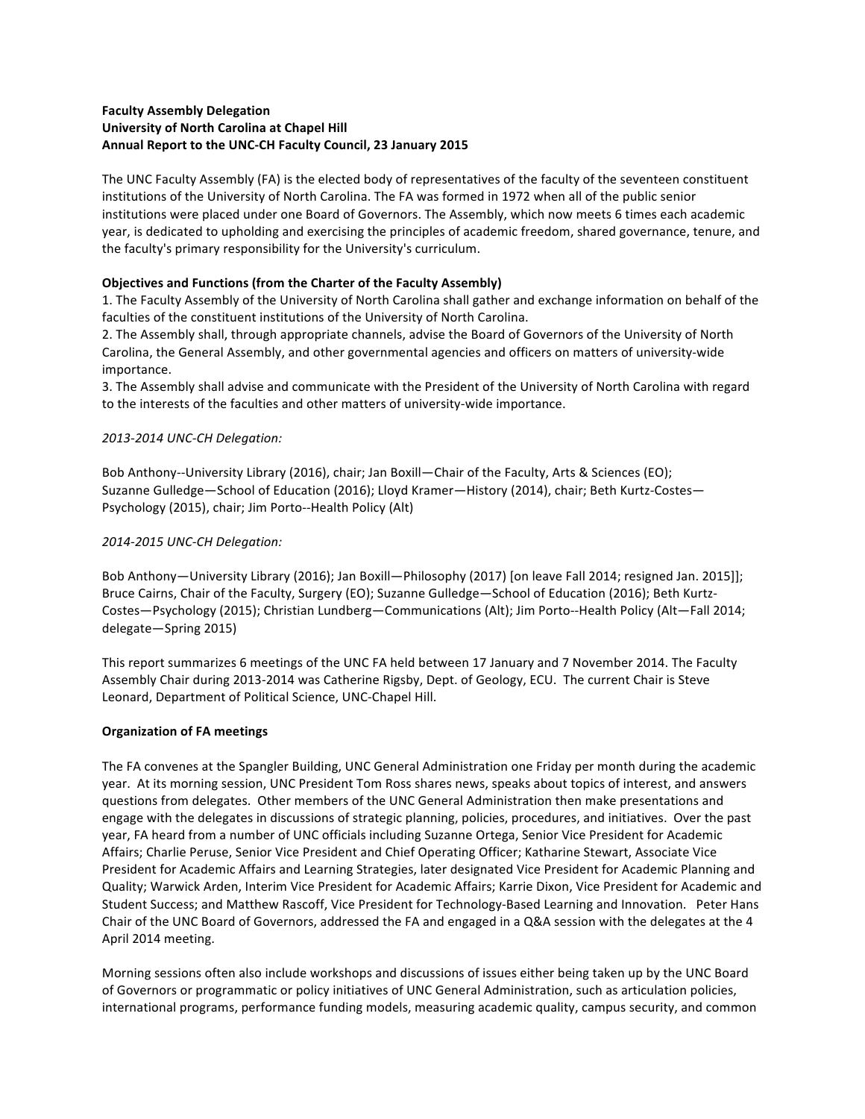## **Faculty Assembly Delegation University of North Carolina at Chapel Hill** Annual Report to the UNC-CH Faculty Council, 23 January 2015

The UNC Faculty Assembly (FA) is the elected body of representatives of the faculty of the seventeen constituent institutions of the University of North Carolina. The FA was formed in 1972 when all of the public senior institutions were placed under one Board of Governors. The Assembly, which now meets 6 times each academic year, is dedicated to upholding and exercising the principles of academic freedom, shared governance, tenure, and the faculty's primary responsibility for the University's curriculum.

# **Objectives and Functions (from the Charter of the Faculty Assembly)**

1. The Faculty Assembly of the University of North Carolina shall gather and exchange information on behalf of the faculties of the constituent institutions of the University of North Carolina.

2. The Assembly shall, through appropriate channels, advise the Board of Governors of the University of North Carolina, the General Assembly, and other governmental agencies and officers on matters of university-wide importance. 

3. The Assembly shall advise and communicate with the President of the University of North Carolina with regard to the interests of the faculties and other matters of university-wide importance.

## *2013-2014 UNC-CH Delegation:*

Bob Anthony--University Library (2016), chair; Jan Boxill—Chair of the Faculty, Arts & Sciences (EO); Suzanne Gulledge—School of Education (2016); Lloyd Kramer—History (2014), chair; Beth Kurtz-Costes— Psychology (2015), chair; Jim Porto--Health Policy (Alt)

## *2014-2015 UNC-CH Delegation:*

Bob Anthony—University Library (2016); Jan Boxill—Philosophy (2017) [on leave Fall 2014; resigned Jan. 2015]]; Bruce Cairns, Chair of the Faculty, Surgery (EO); Suzanne Gulledge—School of Education (2016); Beth Kurtz-Costes—Psychology (2015); Christian Lundberg—Communications (Alt); Jim Porto--Health Policy (Alt—Fall 2014; delegate-Spring 2015)

This report summarizes 6 meetings of the UNC FA held between 17 January and 7 November 2014. The Faculty Assembly Chair during 2013-2014 was Catherine Rigsby, Dept. of Geology, ECU. The current Chair is Steve Leonard, Department of Political Science, UNC-Chapel Hill.

## **Organization of FA meetings**

The FA convenes at the Spangler Building, UNC General Administration one Friday per month during the academic year. At its morning session, UNC President Tom Ross shares news, speaks about topics of interest, and answers questions from delegates. Other members of the UNC General Administration then make presentations and engage with the delegates in discussions of strategic planning, policies, procedures, and initiatives. Over the past year, FA heard from a number of UNC officials including Suzanne Ortega, Senior Vice President for Academic Affairs; Charlie Peruse, Senior Vice President and Chief Operating Officer; Katharine Stewart, Associate Vice President for Academic Affairs and Learning Strategies, later designated Vice President for Academic Planning and Quality; Warwick Arden, Interim Vice President for Academic Affairs; Karrie Dixon, Vice President for Academic and Student Success; and Matthew Rascoff, Vice President for Technology-Based Learning and Innovation. Peter Hans Chair of the UNC Board of Governors, addressed the FA and engaged in a Q&A session with the delegates at the 4 April 2014 meeting.

Morning sessions often also include workshops and discussions of issues either being taken up by the UNC Board of Governors or programmatic or policy initiatives of UNC General Administration, such as articulation policies, international programs, performance funding models, measuring academic quality, campus security, and common